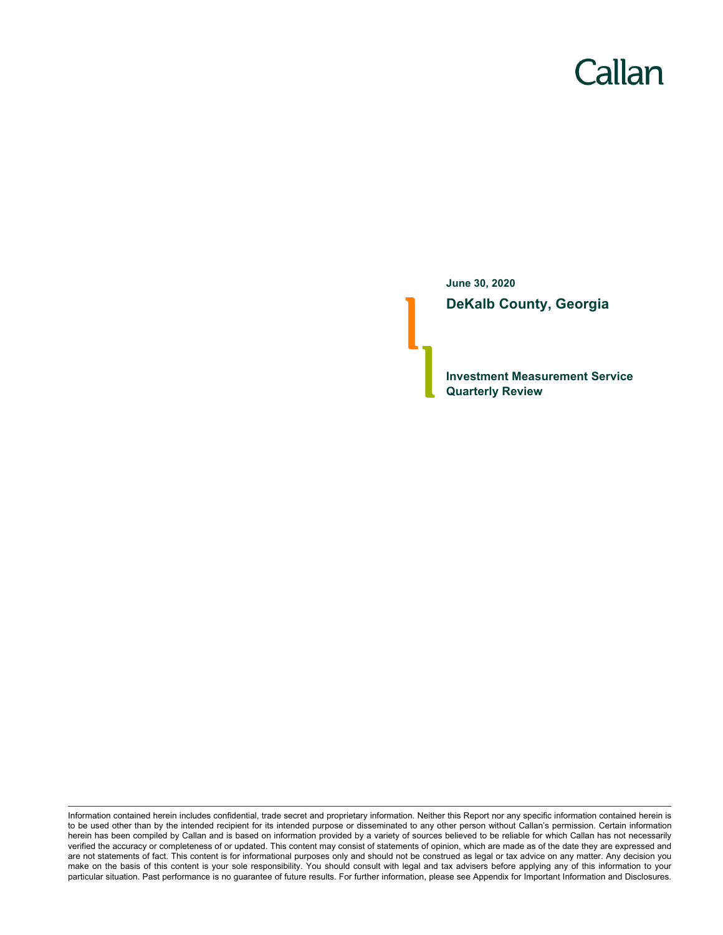# Callan

**June 30, 2020 DeKalb County, Georgia**

**Investment Measurement Service Quarterly Review**

Information contained herein includes confidential, trade secret and proprietary information. Neither this Report nor any specific information contained herein is to be used other than by the intended recipient for its intended purpose or disseminated to any other person without Callan's permission. Certain information herein has been compiled by Callan and is based on information provided by a variety of sources believed to be reliable for which Callan has not necessarily verified the accuracy or completeness of or updated. This content may consist of statements of opinion, which are made as of the date they are expressed and are not statements of fact. This content is for informational purposes only and should not be construed as legal or tax advice on any matter. Any decision you make on the basis of this content is your sole responsibility. You should consult with legal and tax advisers before applying any of this information to your particular situation. Past performance is no guarantee of future results. For further information, please see Appendix for Important Information and Disclosures.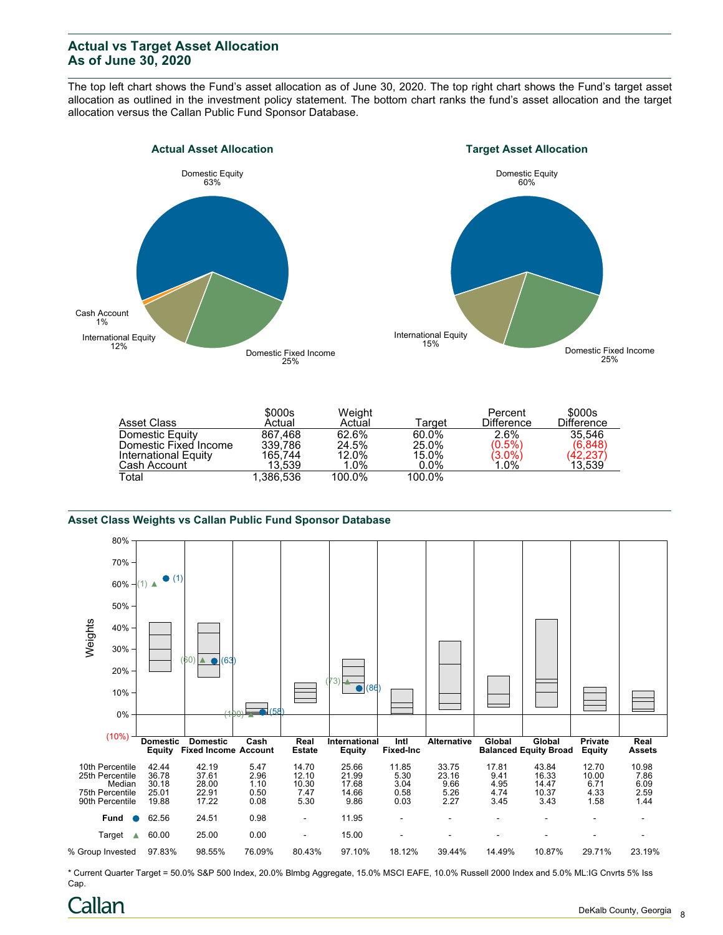## **Actual vs Target Asset Allocation As of June 30, 2020**

The top left chart shows the Fund's asset allocation as of June 30, 2020. The top right chart shows the Fund's target asset allocation as outlined in the investment policy statement. The bottom chart ranks the fund's asset allocation and the target allocation versus the Callan Public Fund Sponsor Database.





| Asset Class           | \$000s<br>Actual | Weight<br>Actual | ⊺arɑet  | Percent<br><b>Difference</b> | \$000s<br><b>Difference</b> |
|-----------------------|------------------|------------------|---------|------------------------------|-----------------------------|
|                       |                  |                  |         |                              |                             |
| Domestic Equity       | 867.468          | 62.6%            | 60.0%   | 2.6%                         | 35.546                      |
| Domestic Fixed Income | 339.786          | 24.5%            | 25.0%   | $(0.5\%)$                    | (6,848)                     |
| International Equity  | 165.744          | 12.0%            | 15.0%   | $(3.0\%)$                    | (42, 237)                   |
| Cash Account          | 13.539           | 1.0%             | $0.0\%$ | 1.0%                         | 13,539                      |
| Total                 | 1.386.536        | 100.0%           | 100.0%  |                              |                             |

#### **Asset Class Weights vs Callan Public Fund Sponsor Database**



\* Current Quarter Target = 50.0% S&P 500 Index, 20.0% Blmbg Aggregate, 15.0% MSCI EAFE, 10.0% Russell 2000 Index and 5.0% ML:IG Cnvrts 5% Iss Cap.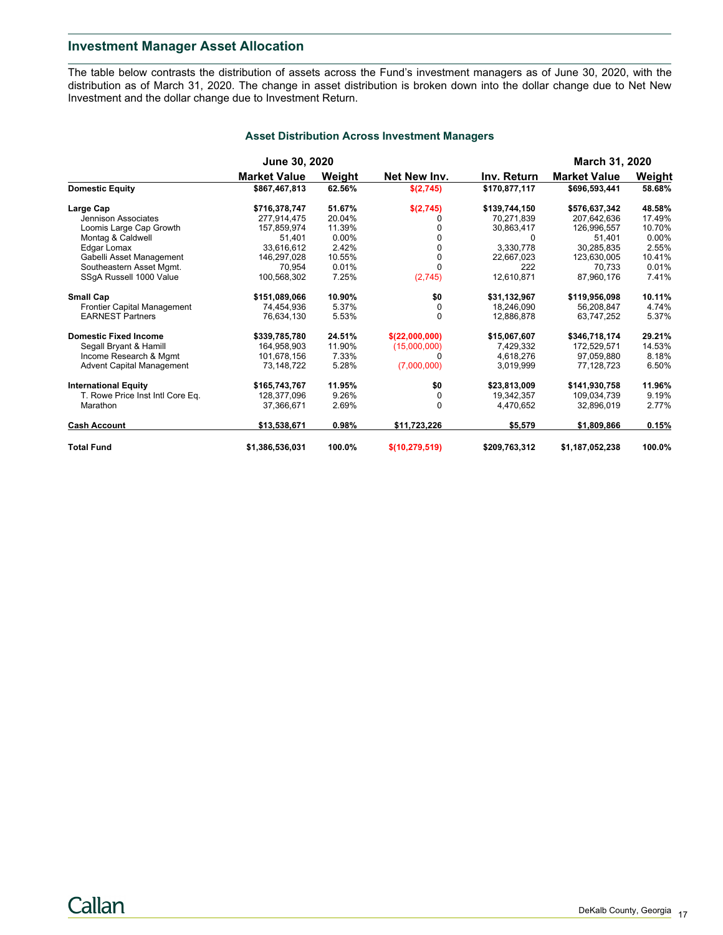## **Investment Manager Asset Allocation**

The table below contrasts the distribution of assets across the Fund's investment managers as of June 30, 2020, with the distribution as of March 31, 2020. The change in asset distribution is broken down into the dollar change due to Net New Investment and the dollar change due to Investment Return.

|                                  | <b>June 30, 2020</b> |        |                  |               | <b>March 31, 2020</b> |          |
|----------------------------------|----------------------|--------|------------------|---------------|-----------------------|----------|
|                                  | <b>Market Value</b>  | Weight | Net New Inv.     | Inv. Return   | <b>Market Value</b>   | Weight   |
| <b>Domestic Equity</b>           | \$867,467,813        | 62.56% | \$(2,745)        | \$170,877,117 | \$696,593,441         | 58.68%   |
| Large Cap                        | \$716,378,747        | 51.67% | \$(2,745)        | \$139,744,150 | \$576,637,342         | 48.58%   |
| Jennison Associates              | 277.914.475          | 20.04% | 0                | 70.271.839    | 207.642.636           | 17.49%   |
| Loomis Large Cap Growth          | 157,859,974          | 11.39% | n                | 30,863,417    | 126,996,557           | 10.70%   |
| Montag & Caldwell                | 51,401               | 0.00%  | 0                | $\Omega$      | 51,401                | $0.00\%$ |
| Edgar Lomax                      | 33.616.612           | 2.42%  | $\Omega$         | 3,330,778     | 30.285.835            | 2.55%    |
| Gabelli Asset Management         | 146,297,028          | 10.55% | 0                | 22,667,023    | 123,630,005           | 10.41%   |
| Southeastern Asset Mgmt.         | 70.954               | 0.01%  | $\Omega$         | 222           | 70.733                | 0.01%    |
| SSgA Russell 1000 Value          | 100,568,302          | 7.25%  | (2,745)          | 12,610,871    | 87,960,176            | 7.41%    |
| <b>Small Cap</b>                 | \$151,089,066        | 10.90% | \$0              | \$31,132,967  | \$119,956,098         | 10.11%   |
| Frontier Capital Management      | 74.454.936           | 5.37%  | 0                | 18.246.090    | 56.208.847            | 4.74%    |
| <b>EARNEST Partners</b>          | 76,634,130           | 5.53%  | $\Omega$         | 12,886,878    | 63,747,252            | 5.37%    |
| <b>Domestic Fixed Income</b>     | \$339,785,780        | 24.51% | \$(22,000,000)   | \$15,067,607  | \$346,718,174         | 29.21%   |
| Segall Bryant & Hamill           | 164.958.903          | 11.90% | (15,000,000)     | 7.429.332     | 172.529.571           | 14.53%   |
| Income Research & Mgmt           | 101,678,156          | 7.33%  | U                | 4,618,276     | 97,059,880            | 8.18%    |
| <b>Advent Capital Management</b> | 73.148.722           | 5.28%  | (7,000,000)      | 3.019.999     | 77,128,723            | 6.50%    |
| <b>International Equity</b>      | \$165,743,767        | 11.95% | \$0              | \$23,813,009  | \$141.930.758         | 11.96%   |
| T. Rowe Price Inst Intl Core Eq. | 128,377,096          | 9.26%  | 0                | 19,342,357    | 109,034,739           | 9.19%    |
| Marathon                         | 37,366,671           | 2.69%  | $\Omega$         | 4,470,652     | 32,896,019            | 2.77%    |
| <b>Cash Account</b>              | \$13,538,671         | 0.98%  | \$11,723,226     | \$5,579       | \$1,809,866           | 0.15%    |
| <b>Total Fund</b>                | \$1,386,536,031      | 100.0% | \$(10, 279, 519) | \$209,763,312 | \$1,187,052,238       | 100.0%   |

### **Asset Distribution Across Investment Managers**

Callan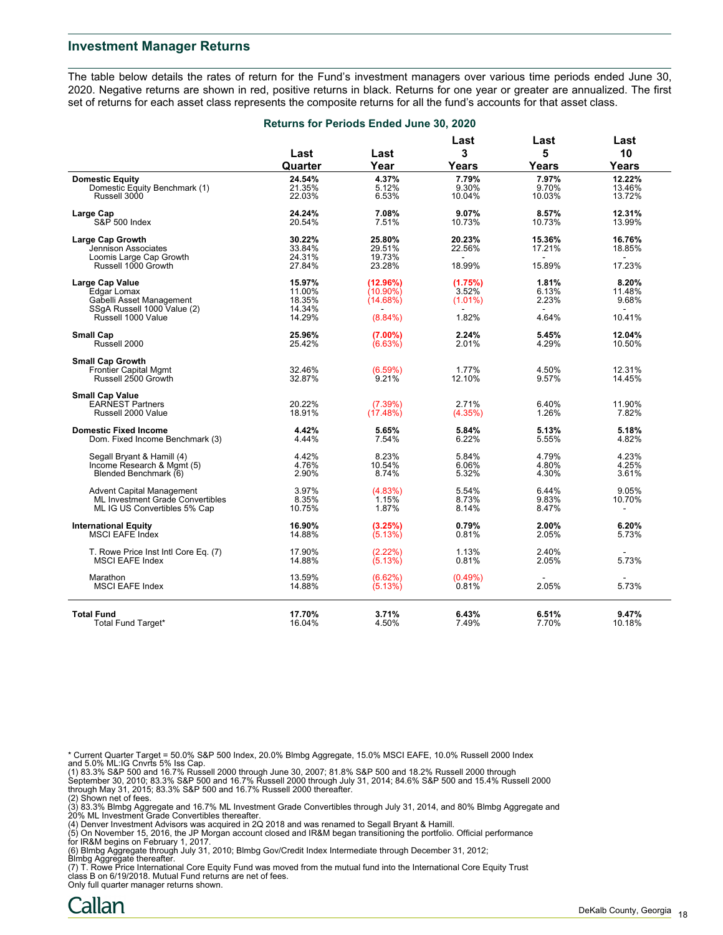### **Investment Manager Returns**

The table below details the rates of return for the Fund's investment managers over various time periods ended June 30, 2020. Negative returns are shown in red, positive returns in black. Returns for one year or greater are annualized. The first set of returns for each asset class represents the composite returns for all the fund's accounts for that asset class.

|                                         | Returns for Periods Ended June 30, 2020 |             |                |           |            |
|-----------------------------------------|-----------------------------------------|-------------|----------------|-----------|------------|
|                                         | Last                                    | Last        | Last<br>3      | Last<br>5 | Last<br>10 |
|                                         | Quarter                                 | Year        | Years          | Years     | Years      |
| <b>Domestic Equity</b>                  | 24.54%                                  | 4.37%       | 7.79%          | 7.97%     | 12.22%     |
| Domestic Equity Benchmark (1)           | 21.35%                                  | 5.12%       | 9.30%          | 9.70%     | 13.46%     |
| Russell 3000                            | 22.03%                                  | 6.53%       | 10.04%         | 10.03%    | 13.72%     |
| Large Cap                               | 24.24%                                  | 7.08%       | 9.07%          | 8.57%     | 12.31%     |
| S&P 500 Index                           | 20.54%                                  | 7.51%       | 10.73%         | 10.73%    | 13.99%     |
| Large Cap Growth                        | 30.22%                                  | 25.80%      | 20.23%         | 15.36%    | 16.76%     |
| Jennison Associates                     | 33.84%                                  | 29.51%      | 22.56%         | 17.21%    | 18.85%     |
| Loomis Large Cap Growth                 | 24.31%                                  | 19.73%      | ÷.             | $\sim$    | ÷.         |
| Russell 1000 Growth                     | 27.84%                                  | 23.28%      | 18.99%         | 15.89%    | 17.23%     |
| <b>Large Cap Value</b>                  | 15.97%                                  | (12.96%)    | (1.75%)        | 1.81%     | 8.20%      |
| Edgar Lomax                             | 11.00%                                  | $(10.90\%)$ | 3.52%          | 6.13%     | 11.48%     |
| Gabelli Asset Management                | 18.35%                                  | (14.68%)    | $(1.01\%)$     | 2.23%     | 9.68%      |
| SSgA Russell 1000 Value (2)             | 14.34%                                  |             | $\blacksquare$ | $\sim$    | $\sim$     |
| Russell 1000 Value                      | 14.29%                                  | $(8.84\%)$  | 1.82%          | 4.64%     | 10.41%     |
| <b>Small Cap</b>                        | 25.96%                                  | (7.00%)     | 2.24%          | 5.45%     | 12.04%     |
| Russell 2000                            | 25.42%                                  | (6.63%)     | 2.01%          | 4.29%     | 10.50%     |
| <b>Small Cap Growth</b>                 |                                         |             |                |           |            |
| <b>Frontier Capital Mgmt</b>            | 32.46%                                  | (6.59%)     | 1.77%          | 4.50%     | 12.31%     |
| Russell 2500 Growth                     | 32.87%                                  | 9.21%       | 12.10%         | 9.57%     | 14.45%     |
| <b>Small Cap Value</b>                  |                                         |             |                |           |            |
| <b>EARNEST Partners</b>                 | 20.22%                                  | (7.39%)     | 2.71%          | 6.40%     | 11.90%     |
| Russell 2000 Value                      | 18.91%                                  | (17.48%)    | (4.35%)        | 1.26%     | 7.82%      |
| <b>Domestic Fixed Income</b>            | 4.42%                                   | 5.65%       | 5.84%          | 5.13%     | 5.18%      |
| Dom. Fixed Income Benchmark (3)         | 4.44%                                   | 7.54%       | 6.22%          | 5.55%     | 4.82%      |
| Segall Bryant & Hamill (4)              | 4.42%                                   | 8.23%       | 5.84%          | 4.79%     | 4.23%      |
| Income Research & Mgmt (5)              | 4.76%                                   | 10.54%      | 6.06%          | 4.80%     | 4.25%      |
| Blended Benchmark (6)                   | 2.90%                                   | 8.74%       | 5.32%          | 4.30%     | 3.61%      |
| <b>Advent Capital Management</b>        | 3.97%                                   | (4.83%)     | 5.54%          | 6.44%     | 9.05%      |
| <b>ML Investment Grade Convertibles</b> | 8.35%                                   | 1.15%       | 8.73%          | 9.83%     | 10.70%     |
| ML IG US Convertibles 5% Cap            | 10.75%                                  | 1.87%       | 8.14%          | 8.47%     |            |
| <b>International Equity</b>             | 16.90%                                  | (3.25%)     | 0.79%          | 2.00%     | 6.20%      |
| <b>MSCI EAFE Index</b>                  | 14.88%                                  | (5.13%)     | 0.81%          | 2.05%     | 5.73%      |
| T. Rowe Price Inst Intl Core Eq. (7)    | 17.90%                                  | (2.22%)     | 1.13%          | 2.40%     | $\sim$     |
| <b>MSCI EAFE Index</b>                  | 14.88%                                  | (5.13%)     | 0.81%          | 2.05%     | 5.73%      |
| Marathon                                | 13.59%                                  | (6.62%)     | (0.49%)        |           |            |
| <b>MSCI EAFE Index</b>                  | 14.88%                                  | (5.13%)     | 0.81%          | 2.05%     | 5.73%      |
|                                         |                                         |             |                |           |            |
| <b>Total Fund</b>                       | 17.70%                                  | 3.71%       | 6.43%          | 6.51%     | 9.47%      |
| <b>Total Fund Target*</b>               | 16.04%                                  | 4.50%       | 7.49%          | 7.70%     | 10.18%     |

\* Current Quarter Target = 50.0% S&P 500 Index, 20.0% Blmbg Aggregate, 15.0% MSCI EAFE, 10.0% Russell 2000 Index and 5.0% ML:IG Cnvrts 5% Iss Cap.

(1) 83.3% S&P 500 and 16.7% Russell 2000 through June 30, 2007; 81.8% S&P 500 and 18.2% Russell 2000 through<br>September 30, 2010; 83.3% S&P 500 and 16.7% Russell 2000 through July 31, 2014; 84.6% S&P 500 and 15.4% Russell 2 (2) Shown net of fees.

(3) 83.3% Blmbg Aggregate and 16.7% ML Investment Grade Convertibles through July 31, 2014, and 80% Blmbg Aggregate and

20% ML Investment Grade Convertibles thereafter.<br>(4) Denver Investment Advisors was acquired in 2Q 2018 and was renamed to Segall Bryant & Hamill.<br>(5) On November 15, 2016, the JP Morgan account closed and IR&M began trans

for IR&M begins on February 1, 2017.

(6) Blmbg Aggregate through July 31, 2010; Blmbg Gov/Credit Index Intermediate through December 31, 2012;

Blmbg Aggregate thereafter. (7) T. Rowe Price International Core Equity Fund was moved from the mutual fund into the International Core Equity Trust class B on 6/19/2018. Mutual Fund returns are net of fees.

Only full quarter manager returns shown.

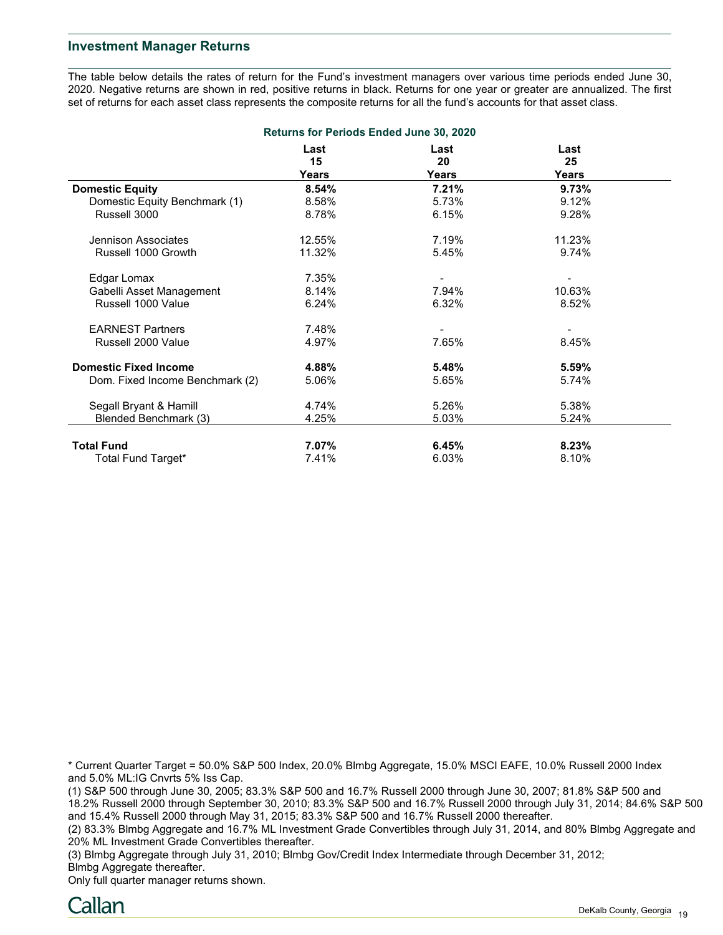## **Investment Manager Returns**

The table below details the rates of return for the Fund's investment managers over various time periods ended June 30, 2020. Negative returns are shown in red, positive returns in black. Returns for one year or greater are annualized. The first set of returns for each asset class represents the composite returns for all the fund's accounts for that asset class.

| <b>Returns for Periods Ended June 30, 2020</b> |            |              |            |  |  |  |
|------------------------------------------------|------------|--------------|------------|--|--|--|
|                                                | Last<br>15 | Last<br>20   | Last<br>25 |  |  |  |
|                                                | Years      | <b>Years</b> | Years      |  |  |  |
| <b>Domestic Equity</b>                         | 8.54%      | 7.21%        | 9.73%      |  |  |  |
| Domestic Equity Benchmark (1)                  | 8.58%      | 5.73%        | 9.12%      |  |  |  |
| Russell 3000                                   | 8.78%      | 6.15%        | 9.28%      |  |  |  |
| Jennison Associates                            | 12.55%     | 7.19%        | 11.23%     |  |  |  |
| Russell 1000 Growth                            | 11.32%     | 5.45%        | 9.74%      |  |  |  |
| Edgar Lomax                                    | 7.35%      |              |            |  |  |  |
| Gabelli Asset Management                       | 8.14%      | 7.94%        | 10.63%     |  |  |  |
| Russell 1000 Value                             | 6.24%      | 6.32%        | 8.52%      |  |  |  |
| <b>EARNEST Partners</b>                        | 7.48%      |              |            |  |  |  |
| Russell 2000 Value                             | 4.97%      | 7.65%        | 8.45%      |  |  |  |
| <b>Domestic Fixed Income</b>                   | 4.88%      | 5.48%        | 5.59%      |  |  |  |
| Dom. Fixed Income Benchmark (2)                | 5.06%      | 5.65%        | 5.74%      |  |  |  |
| Segall Bryant & Hamill                         | 4.74%      | 5.26%        | 5.38%      |  |  |  |
| Blended Benchmark (3)                          | 4.25%      | 5.03%        | 5.24%      |  |  |  |
| <b>Total Fund</b>                              | 7.07%      | 6.45%        | 8.23%      |  |  |  |
| Total Fund Target*                             | 7.41%      | 6.03%        | 8.10%      |  |  |  |

\* Current Quarter Target = 50.0% S&P 500 Index, 20.0% Blmbg Aggregate, 15.0% MSCI EAFE, 10.0% Russell 2000 Index and 5.0% ML:IG Cnvrts 5% Iss Cap.

(1) S&P 500 through June 30, 2005; 83.3% S&P 500 and 16.7% Russell 2000 through June 30, 2007; 81.8% S&P 500 and 18.2% Russell 2000 through September 30, 2010; 83.3% S&P 500 and 16.7% Russell 2000 through July 31, 2014; 84.6% S&P 500 and 15.4% Russell 2000 through May 31, 2015; 83.3% S&P 500 and 16.7% Russell 2000 thereafter.

(2) 83.3% Blmbg Aggregate and 16.7% ML Investment Grade Convertibles through July 31, 2014, and 80% Blmbg Aggregate and 20% ML Investment Grade Convertibles thereafter.

(3) Blmbg Aggregate through July 31, 2010; Blmbg Gov/Credit Index Intermediate through December 31, 2012; Blmbg Aggregate thereafter.

Only full quarter manager returns shown.